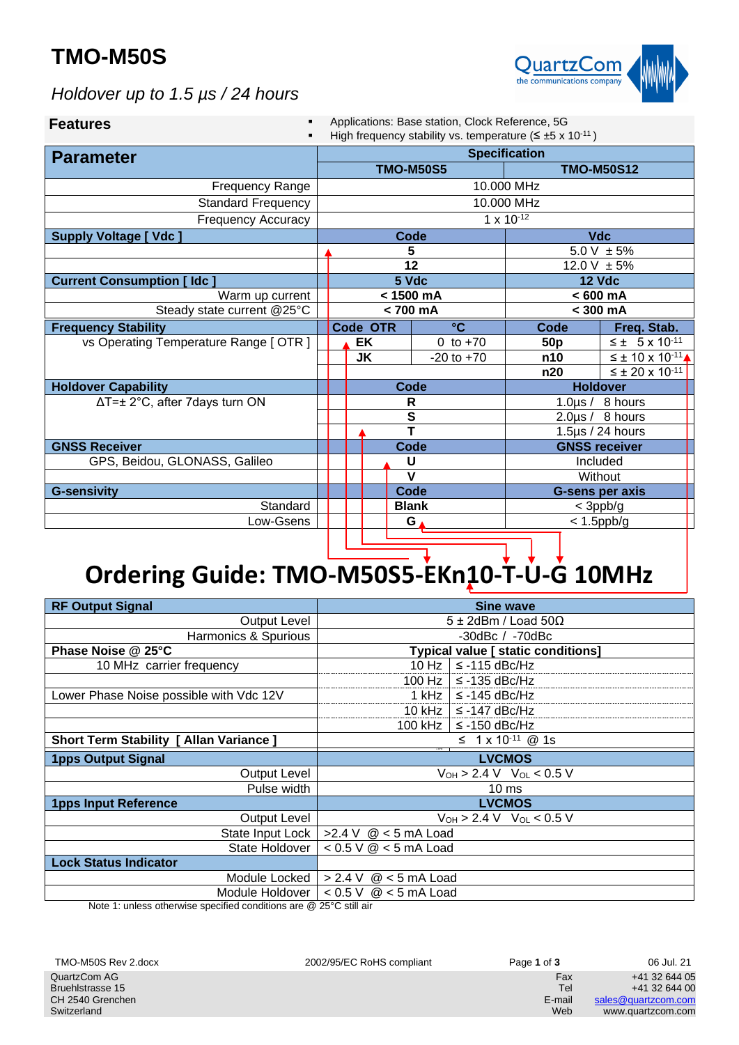## **TMO-M50S**



*Holdover up to 1.5 µs / 24 hours*

| <b>Features</b>                        | Applications: Base station, Clock Reference, 5G<br>High frequency stability vs. temperature ( $\leq \pm 5 \times 10^{-11}$ ) |              |                        |                       |                  |                 |                               |
|----------------------------------------|------------------------------------------------------------------------------------------------------------------------------|--------------|------------------------|-----------------------|------------------|-----------------|-------------------------------|
| <b>Parameter</b>                       |                                                                                                                              |              | <b>Specification</b>   |                       |                  |                 |                               |
|                                        |                                                                                                                              |              |                        |                       | <b>TMO-M50S5</b> |                 | <b>TMO-M50S12</b>             |
| Frequency Range                        | 10.000 MHz                                                                                                                   |              |                        |                       |                  |                 |                               |
| <b>Standard Frequency</b>              | 10.000 MHz                                                                                                                   |              |                        |                       |                  |                 |                               |
| <b>Frequency Accuracy</b>              | $1 \times 10^{-12}$                                                                                                          |              |                        |                       |                  |                 |                               |
| <b>Supply Voltage [ Vdc ]</b>          |                                                                                                                              |              |                        |                       | <b>Code</b>      | <b>Vdc</b>      |                               |
|                                        |                                                                                                                              |              |                        |                       | 5                | $5.0 V \pm 5%$  |                               |
|                                        |                                                                                                                              |              |                        |                       | 12               | 12.0 V $\pm$ 5% |                               |
| <b>Current Consumption [Idc]</b>       |                                                                                                                              |              |                        |                       | 5 Vdc            | <b>12 Vdc</b>   |                               |
| Warm up current                        |                                                                                                                              |              |                        |                       | < 1500 mA        | $< 600$ mA      |                               |
| Steady state current @25°C             | < 700 mA                                                                                                                     |              | $<$ 300 mA             |                       |                  |                 |                               |
| <b>Frequency Stability</b>             |                                                                                                                              |              | Code OTR               |                       | $\rm ^{\circ}C$  | Code            | Freq. Stab.                   |
| vs Operating Temperature Range [ OTR ] |                                                                                                                              |              | EK                     |                       | 0 to $+70$       | 50 <sub>p</sub> | $\leq \pm 5 \times 10^{-11}$  |
|                                        |                                                                                                                              |              | <b>JK</b>              |                       | $-20$ to $+70$   | n10             | $\leq \pm 10 \times 10^{-11}$ |
|                                        |                                                                                                                              |              |                        |                       |                  | n20             | $\leq \pm 20 \times 10^{-11}$ |
| <b>Holdover Capability</b>             |                                                                                                                              |              |                        |                       | Code             | <b>Holdover</b> |                               |
| ∆T=± 2°C, after 7days turn ON          |                                                                                                                              | R            |                        | 1.0 $\mu$ s / 8 hours |                  |                 |                               |
|                                        |                                                                                                                              |              |                        | S                     |                  |                 | $2.0 \mu s / 8$ hours         |
|                                        |                                                                                                                              |              |                        |                       | т                |                 | 1.5 $\mu$ s / 24 hours        |
| <b>GNSS Receiver</b>                   |                                                                                                                              | Code         |                        | <b>GNSS receiver</b>  |                  |                 |                               |
| GPS, Beidou, GLONASS, Galileo          | U                                                                                                                            |              | Included               |                       |                  |                 |                               |
|                                        | $\mathbf v$<br>Without                                                                                                       |              |                        |                       |                  |                 |                               |
| <b>G-sensivity</b>                     | Code                                                                                                                         |              | <b>G-sens per axis</b> |                       |                  |                 |                               |
| Standard                               |                                                                                                                              | <b>Blank</b> |                        | $<$ 3ppb/g            |                  |                 |                               |
| Low-Gsens                              | G                                                                                                                            |              | $< 1.5$ ppb/g          |                       |                  |                 |                               |
|                                        |                                                                                                                              |              |                        |                       |                  |                 |                               |

# **Ordering Guide: TMO-M50S5-EKn10-T-U-G 10MHz**

| <b>RF Output Signal</b>                        | <b>Sine wave</b>                          |                                   |  |
|------------------------------------------------|-------------------------------------------|-----------------------------------|--|
| Output Level                                   | $5 \pm 2$ dBm / Load 50 $\Omega$          |                                   |  |
| Harmonics & Spurious                           |                                           | $-30$ dBc / $-70$ dBc             |  |
| Phase Noise @ 25°C                             | <b>Typical value [ static conditions]</b> |                                   |  |
| 10 MHz carrier frequency                       | $10$ Hz $\parallel$                       | $\le$ -115 dBc/Hz                 |  |
|                                                | $100$ Hz                                  | $\leq$ -135 dBc/Hz                |  |
| Lower Phase Noise possible with Vdc 12V        | $1$ kHz $\parallel$                       | $\leq$ -145 dBc/Hz                |  |
|                                                | $10$ kHz $\parallel$                      | $\leq$ -147 dBc/Hz                |  |
|                                                | $100$ kHz $\parallel$                     | $\leq$ -150 dBc/Hz                |  |
| <b>Short Term Stability [ Allan Variance ]</b> |                                           | $\leq$ 1 x 10 <sup>-11</sup> @ 1s |  |
| <b>1pps Output Signal</b>                      | <b>LVCMOS</b>                             |                                   |  |
| <b>Output Level</b>                            | $V_{OH} > 2.4 V$ $V_{OL} < 0.5 V$         |                                   |  |
| Pulse width                                    | 10 <sub>ms</sub>                          |                                   |  |
| <b>1pps Input Reference</b>                    | <b>LVCMOS</b>                             |                                   |  |
| Output Level                                   | $V_{OH}$ > 2.4 V $V_{OL}$ < 0.5 V         |                                   |  |
| State Input Lock                               | >2.4 V $@$ < 5 mA Load                    |                                   |  |
| State Holdover                                 | $< 0.5$ V $@ < 5$ mA Load                 |                                   |  |
| <b>Lock Status Indicator</b>                   |                                           |                                   |  |
| Module Locked                                  | > 2.4 V<br>$@$ < 5 mA Load                |                                   |  |
| Module Holdover I                              | < 0.5 V<br>$@$ < 5 mA Load                |                                   |  |

Note 1: unless otherwise specified conditions are @ 25°C still air

| TMO-M50S Rev 2.docx | 2002/95/EC RoHS compliant | Page 1 of 3 | 06 Jul. 21          |
|---------------------|---------------------------|-------------|---------------------|
| QuartzCom AG        |                           | Fax         | +41 32 644 05       |
| Bruehlstrasse 15    |                           | Tel         | +41 32 644 00       |
| CH 2540 Grenchen    |                           | E-mail      | sales@guartzcom.com |
| Switzerland         |                           | Web         | www.quartzcom.com   |
|                     |                           |             |                     |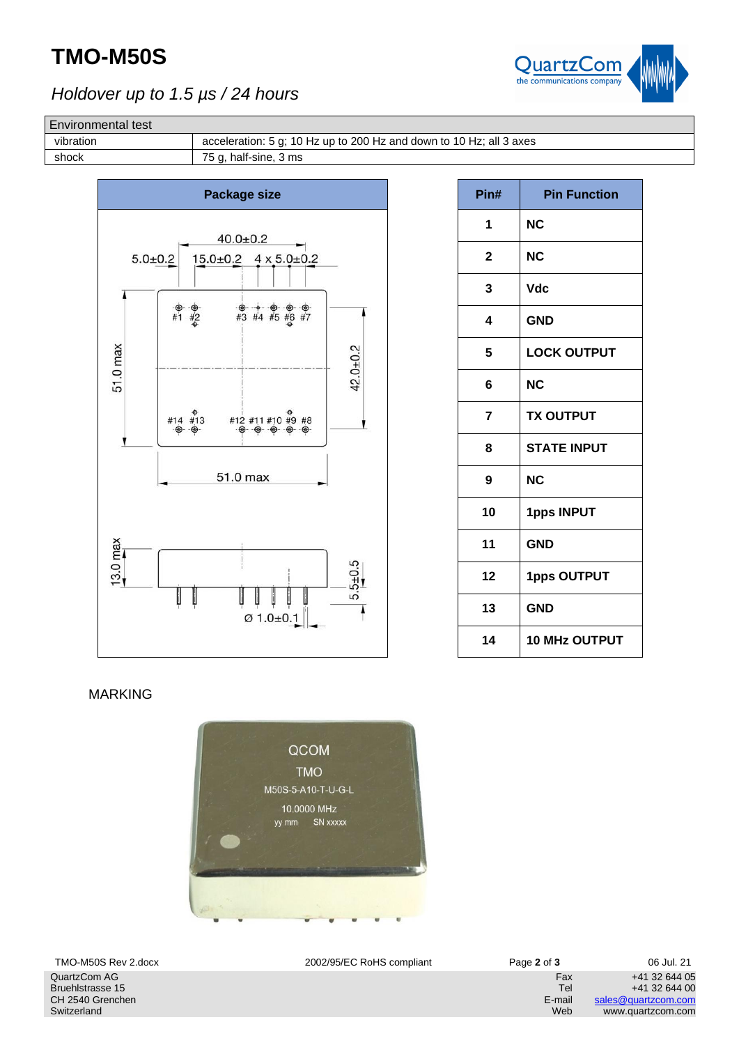## **TMO-M50S**



### *Holdover up to 1.5 µs / 24 hours*

#### Environmental test

vibration acceleration: 5 g; 10 Hz up to 200 Hz and down to 10 Hz; all 3 axes



| Pin# | <b>Pin Function</b>  |
|------|----------------------|
| 1    | ΝC                   |
| 2    | ΝC                   |
| 3    | <b>Vdc</b>           |
| 4    | <b>GND</b>           |
| 5    | <b>LOCK OUTPUT</b>   |
| 6    | <b>NC</b>            |
| 7    | <b>TX OUTPUT</b>     |
| 8    | <b>STATE INPUT</b>   |
| 9    | <b>NC</b>            |
| 10   | <b>1pps INPUT</b>    |
| 11   | <b>GND</b>           |
| 12   | <b>1pps OUTPUT</b>   |
| 13   | <b>GND</b>           |
| 14   | <b>10 MHz OUTPUT</b> |

#### MARKING



QuartzCom AG Bruehlstrasse 15 CH 2540 Grenchen Switzerland

TMO-M50S Rev 2.docx 2002/95/EC RoHS compliant Page **2** of **3** 06 Jul. 21